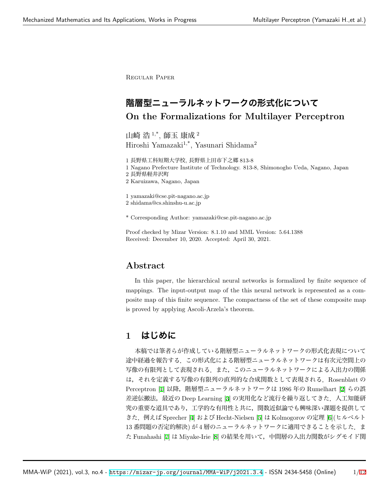Regular Paper

# **階層型ニューラルネットワークの形式化について On the Formalizations for Multilayer Perceptron**

山崎 浩 $1,^*,$  師玉 康成 $^2$ Hiroshi Yamazaki<sup>1,\*</sup>, Yasunari Shidama<sup>2</sup>

1 長野県工科短期大学校, 長野県上田市下之郷 813-8

1 Nagano Prefecture Institute of Technology. 813-8, Shimonogho Ueda, Nagano, Japan

2 長野県軽井沢町

2 Karuizawa, Nagano, Japan

1 yamazaki@cse.pit-nagano.ac.jp

2 shidama@cs.shinshu-u.ac.jp

\* Corresponding Author: yamazaki@cse.pit-nagano.ac.jp

Proof checked by Mizar Version: 8.1.10 and MML Version: 5.64.1388 Received: December 10, 2020. Accepted: April 30, 2021.

## **Abstract**

In this paper, the hierarchical neural networks is formalized by finite sequence of mappings. The input-output map of the this neural network is represented as a composite map of this finite sequence. The compactness of the set of these composite map is proved by applying Ascoli-Arzela's theorem.

# **1 はじめに**

本稿では筆者らが作成している階層型ニューラルネットワークの形式化表現について 途中経過を報告する.この形式化による階層型ニューラルネットワークは有次元空間上の 写像の有限列として表現される.また、このニューラルネットワークによる入出力の関係 は,それを定義する写像の有限列の直列的な合成関数として表現される.Rosenblatt の Perceptron [[1](#page-10-0)] 以降,階層型ニューラルネットワークは 1986年の Rumelhart [[2\]](#page-10-1) らの誤 差逆伝搬法,最近の Deep Learning [[3\]](#page-10-2) の実用化など流行を繰り返してきた. 人工知能研 究の重要な道具であり,工学的な有用性と共に,関数近似論でも興味深い課題を提供して きた.例えば Sprecher [[4\]](#page-10-3) および Hecht-Nielsen [\[5](#page-10-4)] は Kolmogorov の定理 [[6\]](#page-10-5)(ヒルベルト 13番問題の否定的解決) が4層のニューラルネットワークに適用できることを示した. ま た Funahashi [\[7](#page-10-6)] は Miyake-Irie [\[8](#page-10-7)] の結果を用いて,中間層の入出力関数がシグモイド関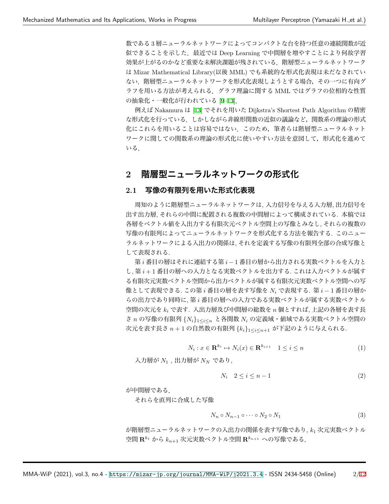数である 3 層ニューラルネットワークによってコンパクトな台を持つ任意の連続関数が近 似できることを示した.最近では Deep Learning で中間層を増やすことにより何故学習 効果が上がるのかなど重要な未解決課題が残されている.階層型ニューラルネットワーク は Mizar Mathematical Library(以後 MML) でも系統的な形式化表現は未だなされてい ない.階層型ニューラルネットワークを形式化表現しようとする場合,その一つに有向グ ラフを用いる方法が考えられる.グラフ理論に関する MML ではグラフの位相的な性質 の抽象化・一般化が行われている [[9–](#page-10-8)[13\]](#page-11-1).

例えば Nakamura は [\[13](#page-11-1)] でそれを用いた Dijkstra's Shortest Path Algorithm の精密 な形式化を行っている.しかしながら非線形関数の近似の議論など,関数系の理論の形式 化にこれらを用いることは容易ではない.このため,筆者らは階層型ニューラルネット ワークに関しての関数系の理論の形式化に使いやすい方法を意図して,形式化を進めて いる.

## **2 階層型ニューラルネットワークの形式化**

### **2.1 写像の有限列を用いた形式化表現**

周知のように階層型ニューラルネットワークは, 入力信号を与える入力層, 出力信号を 出す出力層, それらの中間に配置される複数の中間層によって構成されている. 本稿では 各層をベクトル値を入出力する有限次元ベクトル空間上の写像とみなし, それらの複数の 写像の有限列によってニューラルネットワークを形式化する方法を報告する. このニュー ラルネットワークによる入出力の関係は, それを定義する写像の有限列全部の合成写像と して表現される.

第 *i* 番目の層はそれに連結する第 *i −* 1 番目の層から出力される実数ベクトルを入力と し, 第 *i* + 1 番目の層への入力となる実数ベクトルを出力する. これは入力ベクトルが属す る有限次元実数ベクトル空間から出力ベクトルが属する有限次元実数ベクトル空間への写 像として表現できる. この第 *i* 番目の層を表す写像を *N<sup>i</sup>* で表現する. 第 *i −* 1 番目の層か らの出力であり同時に, 第 *i* 番目の層への入力である実数ベクトルが属する実数ベクトル 空間の次元を *k<sup>i</sup>* で表す. 入出力層及び中間層の総数を *n* 個とすれば, 上記の各層を表す長 <sup>さ</sup> *n* の写像の有限列 *{Ni}*1*≤i≤<sup>n</sup>* と各関数 *N<sup>i</sup>* の定義域・値域である実数ベクトル空間の 次元を表す長さ *n* + 1 の自然数の有限列 *{ki}*1*≤i≤n*+1 が下記のように与えられる.

<span id="page-1-0"></span>
$$
N_i: x \in \mathbf{R}^{k_i} \mapsto N_i(x) \in \mathbf{R}^{k_{i+1}} \quad 1 \le i \le n \tag{1}
$$

入力層が *N*<sup>1</sup> , 出力層が *N<sup>N</sup>* であり,

$$
N_i \quad 2 \le i \le n-1 \tag{2}
$$

が中間層である.

それらを直列に合成した写像

<span id="page-1-1"></span>
$$
N_n \circ N_{n-1} \circ \cdots \circ N_2 \circ N_1 \tag{3}
$$

が階層型ニューラルネットワークの入出力の関係を表す写像であり, *k*<sup>1</sup> 次元実数ベクトル 空間 **R***<sup>k</sup>*<sup>1</sup> から *kn*+1 次元実数ベクトル空間 **R***<sup>k</sup>n*+1 への写像である.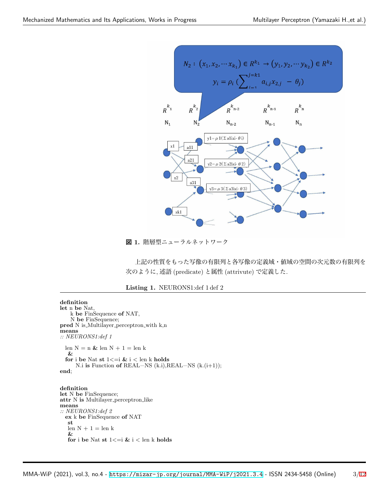

**図 1.** 階層型ニューラルネットワーク

上記の性質をもった写像の有限列と各写像の定義域・値域の空間の次元数の有限列を 次のように, 述語 (predicate) と属性 (attrivute) で定義した.

#### **Listing 1.** NEURONS1:def 1 def 2

```
definition
let n be Nat,
    k be FinSequence of NAT,
    N be FinSequence;
pred N is Multilayer perceptron with k,n
means
:: NEURONS1:def 1
  len N = n \mathrel{{\mathcal L}}len N + 1 =len k
   &
  for i be Nat st 1 \leq i \leq k i \leq len k holds
      N.i is Function of REAL−NS (k.i),REAL−NS (k.(i+1));
end;
definition
let N be FinSequence;
attr N is Multilayer perceptron like
means
:: NEURONS1:def 2
  ex k be FinSequence of NAT
   st
   len N + 1 = len k&
   for i be Nat st 1<=i & i < len k holds
```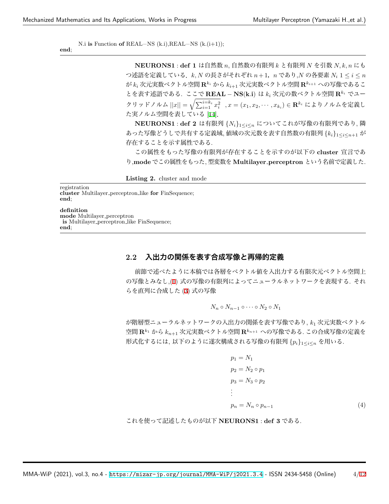N.i **is** Function **of** REAL−NS (k.i),REAL−NS (k.(i+1));

**end**;

**NEURONS1** : **def 1** は自然数 *n*, 自然数の有限列 *k* と有限列 *N* を引数 *N, k, n* にも つ述語を定義している.*k, N* の長さがそれぞれ *n*+ 1,*n* であり,*N* の各要素 *N<sup>i</sup>* 1 *≤ i ≤ n* が *k<sup>i</sup>* 次元実数ベクトル空間 **R***k<sup>i</sup>* から *ki*+1 次元実数ベクトル空間 **R***ki*+1 への写像であるこ とを表す述語である. ここで **REAL** *−* **NS**(**k***.***i**) は *k<sup>i</sup>* 次元の数ベクトル空間 **R***k<sup>i</sup>* でユー クリッドノルム  $||x|| = \sqrt{\sum_{i=1}^{i=k_i} x_i^2}$ , $x = (x_1, x_2, \cdots, x_{k_i}) \in \mathbf{R}^{k_i}$  によりノルムを定義し た実ノルム空間を表している [[14\]](#page-11-2).

**NEURONS1** : **def 2** は有限列 *{Ni}*1*≤i≤<sup>n</sup>* についてこれが写像の有限列であり, <sup>隣</sup> あった写像どうしで共有する定義域, 値域の次元数を表す自然数の有限列 *{ki}*1*≤i≤n*+1 <sup>が</sup> 存在することを示す属性である.

この属性をもった写像の有限列が存在することを示すのが以下の **cluster** 宣言であ り,**mode** でこの属性をもった, 型変数を **Multilayer perceptron** という名前で定義した.

**Listing 2.** cluster and mode

registration

**cluster** Multilayer perceptron like **for** FinSequence; **end**;

**definition** mode Multilayer\_perceptron is Multilayer perceptron like FinSequence; **end**;

### **2.2 入出力の関係を表す合成写像と再帰的定義**

前節で述べたように本稿では各層をベクトル値を入出力する有限次元ベクトル空間上 の写像とみなし,[\(1](#page-1-0)) 式の写像の有限列によってニューラルネットワークを表現する. それ らを直列に合成した ([3\)](#page-1-1) 式の写像

$$
N_n \circ N_{n-1} \circ \cdots \circ N_2 \circ N_1
$$

が階層型ニューラルネットワークの入出力の関係を表す写像であり, *k*<sup>1</sup> 次元実数ベクトル 空間 **R***k*<sup>1</sup> から *kn*+1 次元実数ベクトル空間 **R***kn*+1 への写像である. この合成写像の定義を 形式化するには, 以下のように遂次構成される写像の有限列 *{pi}*<sup>1</sup>*≤i≤<sup>n</sup>* を用いる.

<span id="page-3-0"></span>
$$
p_1 = N_1
$$
  
\n
$$
p_2 = N_2 \circ p_1
$$
  
\n
$$
p_3 = N_3 \circ p_2
$$
  
\n:  
\n
$$
p_n = N_n \circ p_{n-1}
$$
  
\n(4)

これを使って記述したものが以下 **NEURONS1** : **def 3** である.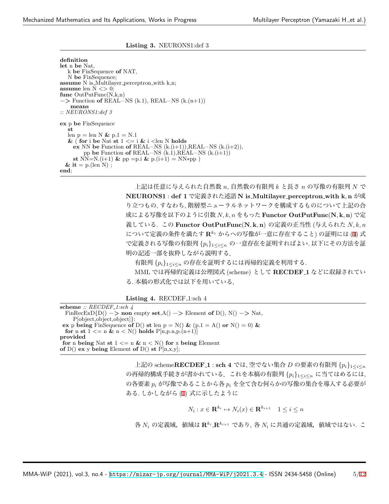### **Listing 3.** NEURONS1:def 3

**definition let** n **be** Nat, k **be** FinSequence **of** NAT, N **be** FinSequence; **assume** N is Multilayer perceptron with k,n; **assume** len N *<>* 0; **func** OutPutFunc(N,k,n) −*>* Function **of** REAL−NS (k.1), REAL−NS (k.(n+1)) **means** *:: NEURONS1:def 3* **ex** p **be** FinSequence **st** len  $p = len N \& p.1 = N.1$  $\&$  (for i be Nat st  $1 \le i \le i$  i  $\le$  len N holds **ex** NN **be** Function **of** REAL−NS (k.(i+1)),REAL−NS (k.(i+2)), pp **be** Function **of** REAL−NS (k.1),REAL−NS (k.(i+1)) **st** NN=N.(i+1) & pp =p.i & p.(i+1) = NN\*pp )  $\&$  it = p.(len N) ; **end**;

> 上記は任意に与えられた自然数 *n*, 自然数の有限列 *k* と長さ *n* の写像の有限列 *N* で **NEURONS1** : **def 1** で定義された述語 **N is Multilayer perceptron with k***,* **n** が成 り立つもの, すなわち, 階層型ニューラルネットワークを構成するものについて上記の合 成による写像を以下のように引数 *N, k, n* をもった **Functor OutPutFunc**(**N***,* **k***,* **n**) で定 義している. この **Functor OutPutFunc**(**N***,* **k***,* **n**) の定義の正当性 (与えられた *N, k, n* について定義の条件を満たす **R***k*<sup>1</sup> からへの写像が一意に存在すること) の証明には [\(4](#page-3-0)) 式 で定義される写像の有限列 *{pi}*1*≤i≤<sup>n</sup>* の一意存在を証明すればよい. 以下にその方法を証 明の記述一部を抜粋しながら説明する.

有限列 *{pi}*1*≤i≤<sup>n</sup>* の存在を証明するには再帰的定義を利用する.

MML では再帰的定義は公理図式 (scheme) として **RECDEF 1** などに収録されてい る. 本稿の形式化では以下を用いている.

Listing 4. RECDEF<sub>-1:sch</sub> 4

**scheme** *:: RECDEF 1:sch 4* FinRecExD{D()  $-\triangleright$  **non** empty **set**,A()  $-\triangleright$  Element **of** D(), N()  $-\triangleright$  Nat, P[object,object,object]*}*: **ex** p **being** FinSequence **of** D() **st** len  $p = N($ ) &  $(p.1 = A()$  or  $N() = 0)$  & **for** n **st**  $1 \le n \& n \le N()$  **holds**  $P[n, p, n, p, (n+1)]$ **provided for** n **being** Nat **st**  $1 \le n \& n \le N()$  **for** x **being** Element **of** D() **ex** y **being** Element **of** D() **st**  $\overrightarrow{P}$ [n,x,y];

> 上記の scheme**RECDEF 1** : **sch 4** では, 空でない集合 *D* の要素の有限列 *{pi}*<sup>1</sup>*≤i≤<sup>n</sup>* の再帰的構成手続きが書かれている.これを本稿の有限列 *{pi}*<sup>1</sup>*≤i≤<sup>n</sup>* に当てはめるには, の各要素 *p<sup>i</sup>* が写像であることから各 *p<sup>i</sup>* を全て含む何らかの写像の集合を導入する必要が ある. しかしながら [\(1](#page-1-0)) 式に示したように

$$
N_i: x \in \mathbf{R}^{k_i} \mapsto N_i(x) \in \mathbf{R}^{k_{i+1}} \quad 1 \le i \le n
$$

各 *N<sup>i</sup>* の定義域,値域は **R***<sup>k</sup><sup>i</sup>* ,**R***<sup>k</sup>i*+1 であり, 各 *N<sup>i</sup>* に共通の定義域,値域ではない. こ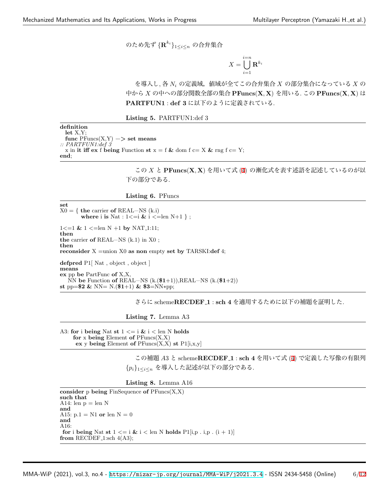のため先ず *{***R** *ki }*1*≤i≤<sup>n</sup>* の合弁集合

$$
X = \bigcup_{i=1}^{i=n} \mathbf{R}^{k_i}
$$

を導入し, 各 *N<sup>i</sup>* の定義域,値域が全てこの合弁集合 *X* の部分集合になっている *X* の 中から *X* の中への部分関数全部の集合 **PFuncs**(**X***,* **X**) を用いる. この **PFuncs**(**X***,* **X**) は **PARTFUN1** : **def 3** に以下のように定義されている.

**Listing 5.** PARTFUN1:def 3

**definition let** X,Y; **func** PFuncs(X,Y) −*>* **set means** *:: PARTFUN1:def 3* x in **it iff ex** f **being** Function **st**  $x = f \&$  dom  $f = X \&$  rng  $f = Y$ ; **end**;

> この *X* と **PFuncs**(**X***,* **X**) を用いて式 ([4\)](#page-3-0) の漸化式を表す述語を記述しているのが以 下の部分である.

**Listing 6.** PFuncs

**set**  $X0 = \{$  **the** carrier **of** REAL–NS (k.i) **where** i **is** Nat :  $1 \leq i \leq k$  i  $\leq$  len N+1 }; 1*<*=1 **&** 1 *<*=len N +1 **by** NAT 1:11; **then the** carrier **of** REAL−NS (k.1) in X0 ; **then reconsider** X =union X0 **as non** empty **set by** TARSKI:**def** 4; **defpred** P1[ Nat , object , object ] **means ex** pp **be** PartFunc **of** X,X, NN **be** Function **of** REAL−NS (k.(\$**1**+1)),REAL−NS (k.(\$**1**+2))

**st** pp=\$**2 &** NN= N.(\$**1**+1) **&** \$**3**=NN∗pp;

さらに scheme**RECDEF 1** : **sch 4** を適用するために以下の補題を証明した.

**Listing 7.** Lemma A3

A3: **for** i **being** Nat **st** 1 *<*= i **&** i *<* len N **holds for** x **being** Element **of** PFuncs(X,X) **ex** y **being** Element **of** PFuncs(X,X) **st** P1[i,x,y]

> この補題 *A*3 と scheme**RECDEF 1** : **sch 4** を用いて式 ([4\)](#page-3-0) で定義した写像の有限列 *{pi}*<sup>1</sup>*≤i≤<sup>n</sup>* を導入した記述が以下の部分である.

**Listing 8.** Lemma A16

**consider** p **being** FinSequence **of** PFuncs(X,X) **such that** A14: len  $p = len N$ **and** A15: p.1  $=$  N1  $\,$  or  $\,$  len  $\,$  N  $=$   $0$ **and** A16: **for** i **being** Nat **st**  $1 \leq i \leq k$  i  $\leq$  len N **holds** P1[i,p . i,p . (i + 1)] **from** RECDEF<sub>-1:sch</sub>  $4(A3)$ ;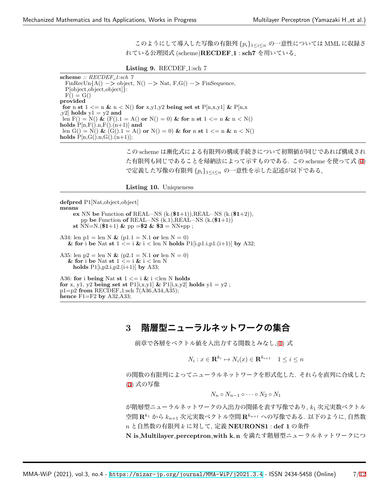このようにして導入した写像の有限列 *{pi}*1*≤i≤<sup>n</sup>* の一意性については MML に収録さ れている公理図式 (scheme)**RECDEF 1** : **sch7** を用いている.

#### **Listing 9.** RECDEF<sub>-1</sub>:sch 7

**scheme** *:: RECDEF 1:sch 7*  $\text{FinRecUn}\{\text{A}() \rightarrow \text{object}, \text{N()} \rightarrow \text{Nat}, \text{F,G()} \rightarrow \text{FinSequence},\}$ P[object,object,object]*}*:  $F() = G()$ **provided for** n **st**  $1 \leq n \leq N$  () **for** x,y1,y2 **being set st** P[n,x,y1]  $\&$  P[n,x  $[y2]$  **holds**  $y1 = y2$  **and** len  $F() = N() \& (F() \cdot 1 = A() \text{ or } N() = 0) \& \text{ for } n \text{ st } 1 \leq n \& n \leq N()$  $\text{holds } P[n, F().n, F().n+1)]$  and len  $G() = N() \& (G() . 1 = A() \text{ or } N() = 0) \& \text{ for n st } 1 \le n \& n \le N()$ **holds**  $P[n,G().n,G().n+1)];$ 

> この scheme は漸化式による有限列の構成手続きについて初期値が同じであれば構成され た有限列も同じであることを帰納法によって示すものである. この scheme を使って式 [\(4](#page-3-0)) で定義した写像の有限列 *{pi}*1*≤i≤<sup>n</sup>* の一意性を示した記述が以下である.

**Listing 10.** Uniqueness

**defpred** P1[Nat,object,object] **means**

**ex** NN **be** Function **of** REAL−NS (k.(\$**1**+1)),REAL−NS (k.(\$**1**+2)), pp **be** Function **of** REAL−NS (k.1),REAL−NS (k.(\$**1**+1)) **st** NN=N.(\$1+1) & pp =\$2 & \$3 = NN\*pp; A34: len  $p1 = \text{len } N \& (p1.1 = N.1 \text{ or } \text{len } N = 0)$ 

& for i be Nat st  $1 \leq i \leq k$  i  $\leq$  len N holds  $P1[i,p1.i,p1.(i+1)]$  by A32;

A35: len  $p2 = \text{len } N \& (p2.1 = N.1 \text{ or } \text{len } N = 0)$ & for i be Nat st  $1 \leq i \leq k$  i  $\leq$  len N **holds** P1[i,p2.i,p2.(i+1)] **by** A33;

A36: **for** i **being** Nat **st** 1 *<*= i **&** i *<*len N **holds for** x, y1, y2 **being set st** P1[i,x,y1] & P1[i,x,y2] **holds** y1 = y2; p1=p2 **from** RECDEF 1:sch 7(A36,A34,A35); **hence** F1=F2 **by** A32,A33;

# **3 階層型ニューラルネットワークの集合**

前章で各層をベクトル値を入出力する関数とみなし,[\(1](#page-1-0)) 式

 $N_i: x \in \mathbf{R}^{k_i} \mapsto N_i(x) \in \mathbf{R}^{k_{i+1}} \quad 1 \leq i \leq n$ 

の関数の有限列によってニューラルネットワークを形式化した. それらを直列に合成した ([3\)](#page-1-1) 式の写像

$$
N_n \circ N_{n-1} \circ \cdots \circ N_2 \circ N_1
$$

が階層型ニューラルネットワークの入出力の関係を表す写像であり, *k*<sup>1</sup> 次元実数ベクトル 空間 **R***<sup>k</sup>*<sup>1</sup> から *kn*+1 次元実数ベクトル空間 **R***<sup>k</sup>n*+1 への写像である. 以下のように, 自然数 *n* と自然数の有限列 *k* に対して, 定義 **NEURONS1** : **def 1** の条件

**N is Multilayer perceptron with k***,* **n** を満たす階層型ニューラルネットワークにつ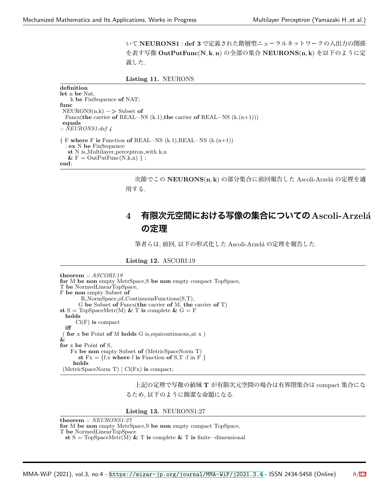いて **NEURONS1** : **def 3** で定義された階層型ニューラルネットワークの入出力の関係 を表す写像 **OutPutFunc**(**N***,* **k***,* **n**) の全部の集合 **NEURONS**(**n***,* **k**) を以下のように定 義した.

**Listing 11.** NEURONS

**definition let** n **be** Nat, k **be** FinSequence **of** NAT; **func** NEURONS(n,k) −*>* Subset **of** Funcs(**the** carrier **of** REAL−NS (k.1),**the** carrier **of** REAL−NS (k.(n+1))) **equals** *:: NEURONS1:def 4 {* F **where** F **is** Function **of** REAL−NS (k.1),REAL−NS (k.(n+1)) : **ex** N **be** FinSequence **st** N is Multilayer perceptron with k,n  $\&$  F = OutPutFunc(N,k,n) } ; **end**;

> 次節でこの **NEURONS**(**n***,* **k**) の部分集合に前回報告した Ascoli-Arzel´a の定理を適 用する.

# **4 有限次元空間における写像の集合についてのAscoli-Arzel´a の定理**

筆者らは, 前回, 以下の形式化した Ascoli-Arzelá の定理を報告した.

**Listing 12.** ASCORI:19

```
theorem :: ASCORI:19
for M be non empty MetrSpace,S be non empty compact TopSpace,
T be NormedLinearTopSpace,
F be non empty Subset of
        R NormSpace of ContinuousFunctions(S,T),
       G be Subset of Funcs(the carrier of M, the carrier of T)
st S = TopSpaceMetr(M) & \hat{T} is complete & \hat{G} = Fholds
      Cl(F) is compact
  iff
( for x be Point of M holds G is equicontinuous at x )
&
for x be Point of S,
    Fx be non empty Subset of (MetricSpaceNorm T)
       st Fx = \{f.x \text{ where } f \text{ is Function of } S, T \text{ if in } F \}holds
(MetricSpaceNorm T) | Cl(Fx) is compact;
```
上記の定理で写像の値域 **T** が有限次元空間の場合は有界閉集合は compact 集合にな るため, 以下のように簡潔な命題になる.

**Listing 13.** NEURONS1:27

**theorem** *:: NEURONS1:27* **for** M **be non** empty MetrSpace,S **be non** empty compact TopSpace, T **be** NormedLinearTopSpace **st** S = TopSpaceMetr(M) **&** T **is** complete **&** T **is** finite−dimensional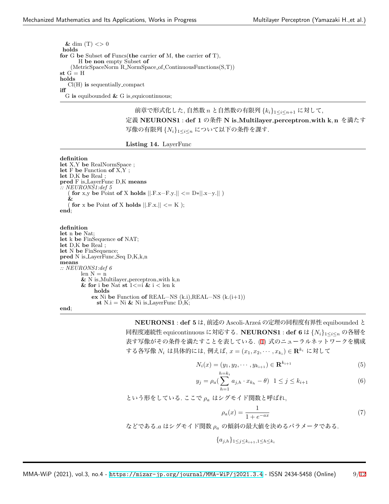$\&$  dim  $(T)$  <> 0 **holds for** G **be** Subset **of** Funcs(**the** carrier **of** M, **the** carrier **of** T), H **be non** empty Subset **of** (MetricSpaceNorm R NormSpace of ContinuousFunctions(S,T))  $\mathbf{s}\mathbf{t}$   $\mathbf{G}^{\text{`}}=\mathbf{H}$ **holds** Cl(H) **is** sequentially compact **iff** G **is** equibounded **&** G is equicontinuous;

> 前章で形式化した, 自然数 *n* と自然数の有限列 *{ki}*1*≤i≤n*+1 に対して, 定義 **NEURONS1** : **def 1** の条件 **N is Multilayer perceptron with k***,* **n** を満たす 写像の有限列 *{Ni}*1*≤i≤<sup>n</sup>* について以下の条件を課す.

**Listing 14.** LayerFunc

**definition let** X,Y **be** RealNormSpace ; **let** F **be** Function **of** X,Y ; **let** D,K **be** Real ; **pred** F is LayerFunc D,K **means** *:: NEURONS1:def 5* ( **for** x,y **be** Point **of** X **holds** *||*.F.x−F.y.*|| <*= D∗*||*.x−y.*||* ) **&** for x be Point of X holds  $||F.x|| \leq K$  ); **end**;

**definition let** n **be** Nat; **let** k **be** FinSequence **of** NAT; **let** D,K **be** Real ; **let** N **be** FinSequence; **pred** N is LayerFunc Seq D,K,k,n **means** *:: NEURONS1:def 6* len  $N = n$  $\&$  N is<br>\_Multilayer\_perceptron\_with k,n **& for** i **be** Nat **st** 1*<*=i **&** i *<* len k **holds ex** Ni **be** Function **of** REAL−NS (k.i),REAL−NS (k.(i+1)) **st** N.i = Ni & Ni is LayerFunc  $\dot{D}$ ,K;

**end**;

**NEURONS1** : **def 5** は, 前述の Ascoli-Arzeá の定理の同程度有界性 equibounded と 同程度連続性 equicontinuous に対応する. **NEURONS1** : **def 6** <sup>は</sup> *{Ni}*1*≤i≤<sup>n</sup>* の各層を 表す写像がその条件を満たすことを表している. [\(1](#page-1-0)) 式のニューラルネットワークを構成 する各写像 *N<sup>i</sup>* は具体的には, 例えば, *x* = (*x*1*, x*2*, · · · , x<sup>k</sup><sup>i</sup>* ) *∈* **R***<sup>k</sup><sup>i</sup>* に対して

$$
N_i(x) = (y_1, y_2, \cdots, y_{k_{i+1}}) \in \mathbf{R}^{k_{i+1}}
$$
\n(5)

$$
y_j = \rho_a \left( \sum_{h=1}^{h=k_i} a_{j,h} \cdot x_{k_h} - \theta \right) \quad 1 \le j \le k_{i+1} \tag{6}
$$

という形をしている. ここで *ρ<sup>a</sup>* はシグモイド関数と呼ばれ,

<span id="page-8-0"></span>
$$
\rho_a(x) = \frac{1}{1 + e^{-ax}}\tag{7}
$$

などである.*a* はシグモイド関数 *ρ<sup>a</sup>* の傾斜の最大値を決めるパラメータである.

*{aj,h}*<sup>1</sup>*≤j≤ki*+1*,*1*≤h≤k<sup>i</sup>*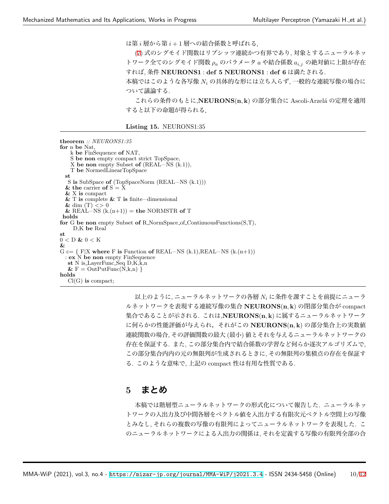は第 *i* 層から第 *i* + 1 層への結合係数と呼ばれる.

[\(7](#page-8-0)) 式のシグモイド関数はリプシッツ連続かつ有界であり, 対象とするニューラルネッ トワーク全てのシグモイド関数 *ρ<sup>a</sup>* のパラメータ *a* や結合係数 *ai,j* の絶対値に上限が存在 すれば, 条件 **NEURONS1** : **def 5 NEURONS1** : **def 6** は満たされる.

本稿ではこのような各写像 *N<sup>i</sup>* の具体的な形には立ち入らず, 一般的な連続写像の場合に ついて議論する.

これらの条件のもとに,**NEURONS**(**n***,* **k**) の部分集合に Ascoli-Arzel´a の定理を適用 すると以下の命題が得られる.

**Listing 15.** NEURONS1:35

**theorem** *:: NEURONS1:35* **for** n **be** Nat, k **be** FinSequence **of** NAT, S **be non** empty compact strict TopSpace, X **be non** empty Subset **of** (REAL−NS (k.1)), T **be** NormedLinearTopSpace **st** S **is** SubSpace **of** (TopSpaceNorm (REAL−NS (k.1)))  $\&$  the carrier of  $S = \bar{X}$ **&** X **is** compact **&** T **is** complete **&** T **is** finite−dimensional  $\&$  dim (T) <> 0  $&$  REAL–NS  $(k(n+1)) =$  **the** NORMSTR of T **holds for** G **be non** empty Subset **of** R NormSpace of ContinuousFunctions(S,T), D,K **be** Real **st** 0 *<* D **&** 0 *<* K **&** G c= *{* F*|*X **where** F **is** Function **of** REAL−NS (k.1),REAL−NS (k.(n+1)) : **ex** N **be non** empty FinSequence **st** N is LayerFunc Seq D,K,k,n  $\&$  F = OutPutFunc $(\hat{N}, k, n)$ } **holds** Cl(G) **is** compact;

> 以上のように, ニューラルネットワークの各層 *N<sup>i</sup>* に条件を課すことを前提にニューラ ルネットワークを表現する連続写像の集合 **NEURONS**(**n***,* **k**) の閉部分集合が compact 集合であることが示される. これは,**NEURONS**(**n***,* **k**) に属するニューラルネットワーク に何らかの性能評価が与えられ,それがこの **NEURONS**(**n***,* **k**) の部分集合上の実数値 連続関数の場合, その評価関数の最大 (最小) 値とそれを与えるニューラルネットワークの 存在を保証する. また, この部分集合内で結合係数の学習など何らか逐次アルゴリズムで, この部分集合内内の元の無限列が生成されるときに, その無限列の集積点の存在を保証す る. このような意味で, 上記の compact 性は有用な性質である.

### **5 まとめ**

本稿では階層型ニューラルネットワークの形式化について報告した. ニューラルネッ トワークの入出力及び中間各層をベクトル値を入出力する有限次元ベクトル空間上の写像 とみなし, それらの複数の写像の有限列によってニューラルネットワークを表現した. こ のニューラルネットワークによる入出力の関係は, それを定義する写像の有限列全部の合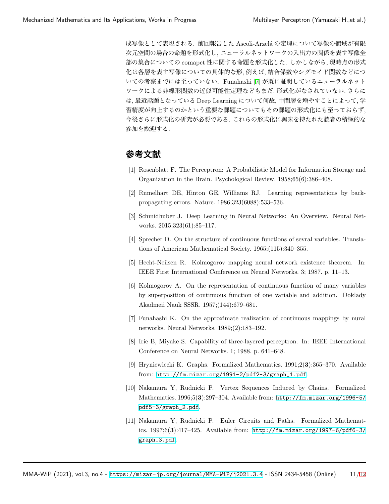成写像として表現される. 前回報告した Ascoli-Arzelá の定理について写像の値域が有限 次元空間の場合の命題を形式化し, ニューラルネットワークの入出力の関係を表す写像全 部の集合についての comapct 性に関する命題を形式化した. しかしながら, 現時点の形式 化は各層を表す写像についての具体的な形, 例えば, 結合係数やシグモイド関数などにつ いての考察までには至っていない. Funahashi [\[7](#page-10-6)] が既に証明しているニューラルネット ワークによる非線形関数の近似可能性定理などもまだ, 形式化がなされていない. さらに は, 最近話題となっている Deep Learning について何故, 中間層を増やすことによって, 学 習精度が向上するのかという重要な課題についてもその課題の形式化にも至っておらず, 今後さらに形式化の研究が必要である. これらの形式化に興味を持たれた読者の積極的な 参加を歓迎する.

# **参考文献**

- <span id="page-10-0"></span>[1] Rosenblatt F. The Perceptron: A Probabilistic Model for Information Storage and Organization in the Brain. Psychological Review. 1958;65(6):386–408.
- <span id="page-10-1"></span>[2] Rumelhart DE, Hinton GE, Williams RJ. Learning representations by backpropagating errors. Nature. 1986;323(6088):533–536.
- <span id="page-10-2"></span>[3] Schmidhuber J. Deep Learning in Neural Networks: An Overview. Neural Networks. 2015;323(61):85–117.
- <span id="page-10-3"></span>[4] Sprecher D. On the structure of continuous functions of sevral variables. Translations of American Mathematical Society. 1965;(115):340–355.
- <span id="page-10-4"></span>[5] Hecht-Neilsen R. Kolmogorov mapping neural network existence theorem. In: IEEE First International Conference on Neural Networks. 3; 1987. p. 11–13.
- <span id="page-10-5"></span>[6] Kolmogorov A. On the representation of continuous function of many variables by superposition of continuous function of one variable and addition. Doklady Akadmeii Nauk SSSR. 1957;(144):679–681.
- <span id="page-10-6"></span>[7] Funahashi K. On the approximate realization of continuous mappings by nural networks. Neural Networks. 1989;(2):183–192.
- <span id="page-10-7"></span>[8] Irie B, Miyake S. Capability of three-layered perceptron. In: IEEE International Conference on Neural Networks. 1; 1988. p. 641–648.
- <span id="page-10-8"></span>[9] Hryniewiecki K. Graphs. Formalized Mathematics. 1991;2(**3**):365–370. Available from: [http://fm.mizar.org/1991-2/pdf2-3/graph\\_1.pdf](http://fm.mizar.org/1991-2/pdf2-3/graph_1.pdf).
- [10] Nakamura Y, Rudnicki P. Vertex Sequences Induced by Chains. Formalized Mathematics. 1996;5(**3**):297–304. Available from: [http://fm.mizar.org/1996-5/](http://fm.mizar.org/1996-5/pdf5-3/graph_2.pdf) [pdf5-3/graph\\_2.pdf](http://fm.mizar.org/1996-5/pdf5-3/graph_2.pdf).
- [11] Nakamura Y, Rudnicki P. Euler Circuits and Paths. Formalized Mathematics. 1997;6(**3**):417–425. Available from: [http://fm.mizar.org/1997-6/pdf6-3/](http://fm.mizar.org/1997-6/pdf6-3/graph_3.pdf) [graph\\_3.pdf](http://fm.mizar.org/1997-6/pdf6-3/graph_3.pdf).